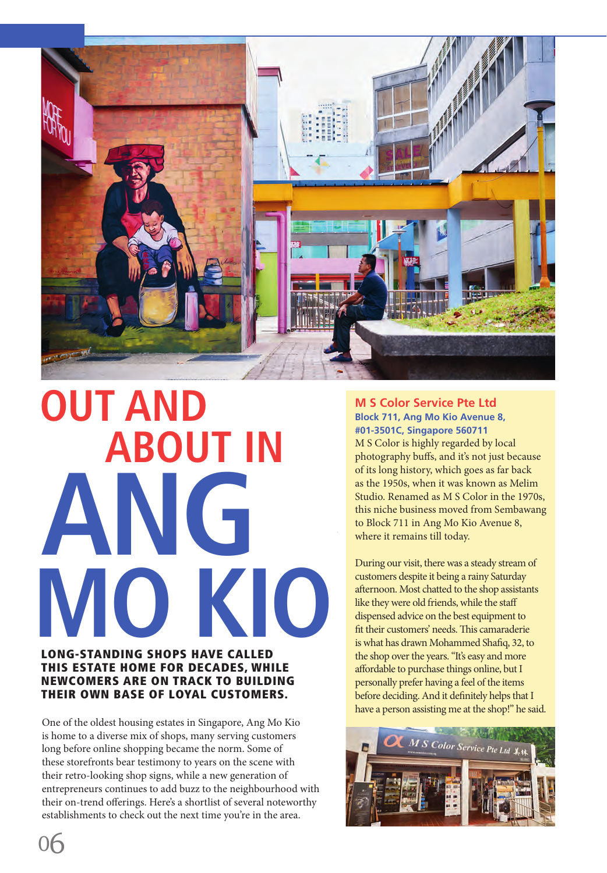

# **ANG**  LONG-STANDING SHOPS HAVE CALLED **OUT AND M S Color Service Pte Ltd MO KIO ABOUT IN**

### THIS ESTATE HOME FOR DECADES, WHILE NEWCOMERS ARE ON TRACK TO BUILDING THEIR OWN BASE OF LOYAL CUSTOMERS.

One of the oldest housing estates in Singapore, Ang Mo Kio is home to a diverse mix of shops, many serving customers long before online shopping became the norm. Some of these storefronts bear testimony to years on the scene with their retro-looking shop signs, while a new generation of entrepreneurs continues to add buzz to the neighbourhood with their on-trend offerings. Here's a shortlist of several noteworthy establishments to check out the next time you're in the area.

## **Block 711, Ang Mo Kio Avenue 8, #01-3501C, Singapore 560711**

M S Color is highly regarded by local photography buffs, and it's not just because of its long history, which goes as far back as the 1950s, when it was known as Melim Studio. Renamed as M S Color in the 1970s, this niche business moved from Sembawang to Block 711 in Ang Mo Kio Avenue 8, where it remains till today.

During our visit, there was a steady stream of customers despite it being a rainy Saturday afternoon. Most chatted to the shop assistants like they were old friends, while the staff dispensed advice on the best equipment to fit their customers' needs. This camaraderie is what has drawn Mohammed Shafiq, 32, to the shop over the years. "It's easy and more affordable to purchase things online, but I personally prefer having a feel of the items before deciding. And it definitely helps that I have a person assisting me at the shop!" he said.